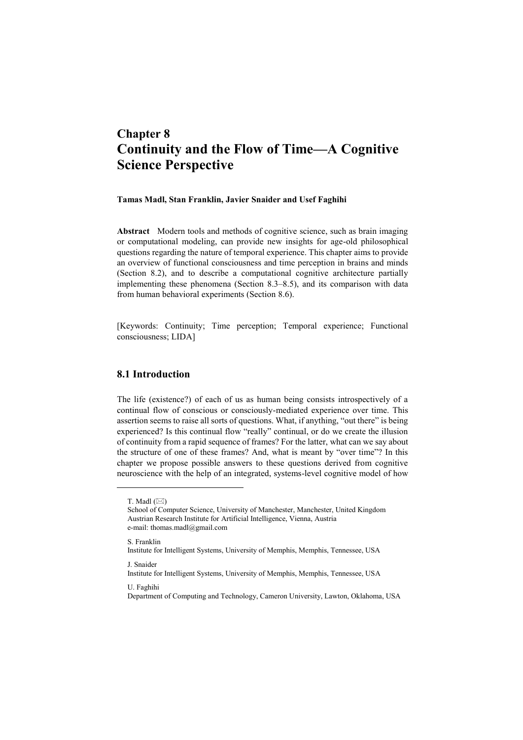# **Chapter 8 Continuity and the Flow of Time—A Cognitive Science Perspective**

#### **Tamas Madl, Stan Franklin, Javier Snaider and Usef Faghihi**

**Abstract** Modern tools and methods of cognitive science, such as brain imaging or computational modeling, can provide new insights for age-old philosophical questions regarding the nature of temporal experience. This chapter aims to provide an overview of functional consciousness and time perception in brains and minds (Section 8.2), and to describe a computational cognitive architecture partially implementing these phenomena (Section 8.3–8.5), and its comparison with data from human behavioral experiments (Section 8.6).

[Keywords: Continuity; Time perception; Temporal experience; Functional consciousness; LIDA]

## **8.1 Introduction**

The life (existence?) of each of us as human being consists introspectively of a continual flow of conscious or consciously-mediated experience over time. This assertion seems to raise all sorts of questions. What, if anything, "out there" is being experienced? Is this continual flow "really" continual, or do we create the illusion of continuity from a rapid sequence of frames? For the latter, what can we say about the structure of one of these frames? And, what is meant by "over time"? In this chapter we propose possible answers to these questions derived from cognitive neuroscience with the help of an integrated, systems-level cognitive model of how

1

S. Franklin

U. Faghihi

T. Madl  $(\boxtimes)$ 

School of Computer Science, University of Manchester, Manchester, United Kingdom Austrian Research Institute for Artificial Intelligence, Vienna, Austria e-mail: thomas.madl@gmail.com

Institute for Intelligent Systems, University of Memphis, Memphis, Tennessee, USA

J. Snaider

Institute for Intelligent Systems, University of Memphis, Memphis, Tennessee, USA

Department of Computing and Technology, Cameron University, Lawton, Oklahoma, USA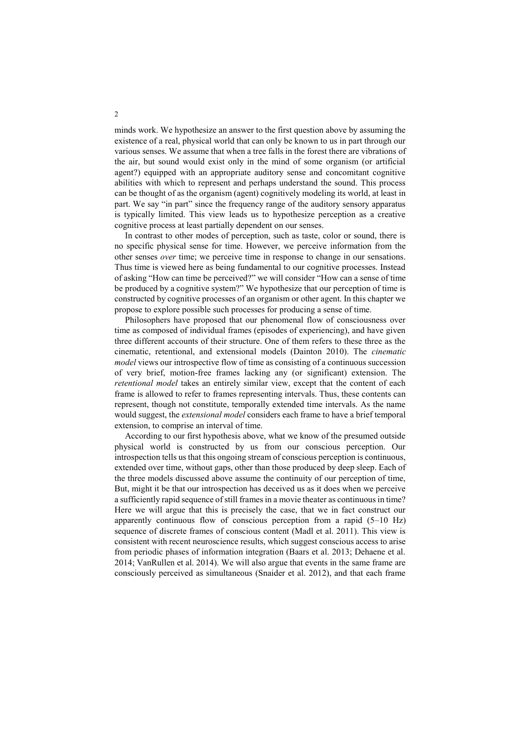minds work. We hypothesize an answer to the first question above by assuming the existence of a real, physical world that can only be known to us in part through our various senses. We assume that when a tree falls in the forest there are vibrations of the air, but sound would exist only in the mind of some organism (or artificial agent?) equipped with an appropriate auditory sense and concomitant cognitive abilities with which to represent and perhaps understand the sound. This process can be thought of as the organism (agent) cognitively modeling its world, at least in part. We say "in part" since the frequency range of the auditory sensory apparatus is typically limited. This view leads us to hypothesize perception as a creative cognitive process at least partially dependent on our senses.

In contrast to other modes of perception, such as taste, color or sound, there is no specific physical sense for time. However, we perceive information from the other senses *over* time; we perceive time in response to change in our sensations. Thus time is viewed here as being fundamental to our cognitive processes. Instead of asking "How can time be perceived?" we will consider "How can a sense of time be produced by a cognitive system?" We hypothesize that our perception of time is constructed by cognitive processes of an organism or other agent. In this chapter we propose to explore possible such processes for producing a sense of time.

Philosophers have proposed that our phenomenal flow of consciousness over time as composed of individual frames (episodes of experiencing), and have given three different accounts of their structure. One of them refers to these three as the cinematic, retentional, and extensional models (Dainton 2010). The *cinematic model* views our introspective flow of time as consisting of a continuous succession of very brief, motion-free frames lacking any (or significant) extension. The *retentional model* takes an entirely similar view, except that the content of each frame is allowed to refer to frames representing intervals. Thus, these contents can represent, though not constitute, temporally extended time intervals. As the name would suggest, the *extensional model* considers each frame to have a brief temporal extension, to comprise an interval of time.

According to our first hypothesis above, what we know of the presumed outside physical world is constructed by us from our conscious perception. Our introspection tells us that this ongoing stream of conscious perception is continuous, extended over time, without gaps, other than those produced by deep sleep. Each of the three models discussed above assume the continuity of our perception of time, But, might it be that our introspection has deceived us as it does when we perceive a sufficiently rapid sequence of still frames in a movie theater as continuous in time? Here we will argue that this is precisely the case, that we in fact construct our apparently continuous flow of conscious perception from a rapid  $(5-10$  Hz) sequence of discrete frames of conscious content (Madl et al. 2011). This view is consistent with recent neuroscience results, which suggest conscious access to arise from periodic phases of information integration (Baars et al. 2013; Dehaene et al. 2014; VanRullen et al. 2014). We will also argue that events in the same frame are consciously perceived as simultaneous (Snaider et al. 2012), and that each frame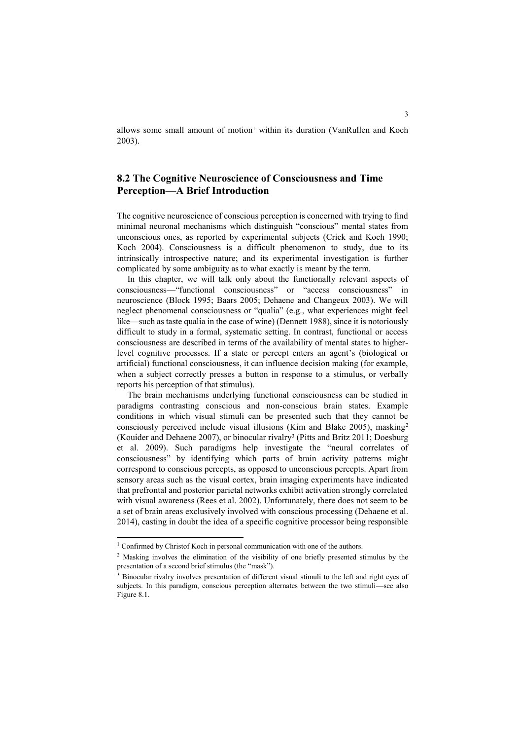allows some small amount of motion<sup>1</sup> within its duration (VanRullen and Koch 2003).

## **8.2 The Cognitive Neuroscience of Consciousness and Time Perception—A Brief Introduction**

The cognitive neuroscience of conscious perception is concerned with trying to find minimal neuronal mechanisms which distinguish "conscious" mental states from unconscious ones, as reported by experimental subjects (Crick and Koch 1990; Koch 2004). Consciousness is a difficult phenomenon to study, due to its intrinsically introspective nature; and its experimental investigation is further complicated by some ambiguity as to what exactly is meant by the term.

In this chapter, we will talk only about the functionally relevant aspects of consciousness—"functional consciousness" or "access consciousness" in neuroscience (Block 1995; Baars 2005; Dehaene and Changeux 2003). We will neglect phenomenal consciousness or "qualia" (e.g., what experiences might feel like—such as taste qualia in the case of wine) (Dennett 1988), since it is notoriously difficult to study in a formal, systematic setting. In contrast, functional or access consciousness are described in terms of the availability of mental states to higherlevel cognitive processes. If a state or percept enters an agent's (biological or artificial) functional consciousness, it can influence decision making (for example, when a subject correctly presses a button in response to a stimulus, or verbally reports his perception of that stimulus).

The brain mechanisms underlying functional consciousness can be studied in paradigms contrasting conscious and non-conscious brain states. Example conditions in which visual stimuli can be presented such that they cannot be consciously perceived include visual illusions (Kim and Blake 2005), masking<sup>2</sup> (Kouider and Dehaene 2007), or binocular rivalry<sup>3</sup> (Pitts and Britz 2011; Doesburg et al. 2009). Such paradigms help investigate the "neural correlates of consciousness" by identifying which parts of brain activity patterns might correspond to conscious percepts, as opposed to unconscious percepts. Apart from sensory areas such as the visual cortex, brain imaging experiments have indicated that prefrontal and posterior parietal networks exhibit activation strongly correlated with visual awareness (Rees et al. 2002). Unfortunately, there does not seem to be a set of brain areas exclusively involved with conscious processing (Dehaene et al. 2014), casting in doubt the idea of a specific cognitive processor being responsible

 $\overline{a}$ 

<sup>&</sup>lt;sup>1</sup> Confirmed by Christof Koch in personal communication with one of the authors.

<sup>2</sup> Masking involves the elimination of the visibility of one briefly presented stimulus by the presentation of a second brief stimulus (the "mask").

<sup>&</sup>lt;sup>3</sup> Binocular rivalry involves presentation of different visual stimuli to the left and right eyes of subjects. In this paradigm, conscious perception alternates between the two stimuli—see also Figure 8.1.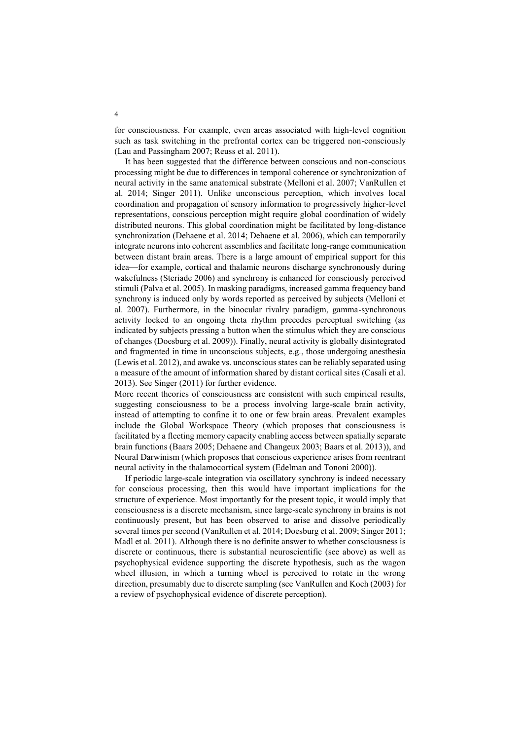for consciousness. For example, even areas associated with high-level cognition such as task switching in the prefrontal cortex can be triggered non-consciously (Lau and Passingham 2007; Reuss et al. 2011).

It has been suggested that the difference between conscious and non-conscious processing might be due to differences in temporal coherence or synchronization of neural activity in the same anatomical substrate (Melloni et al. 2007; VanRullen et al. 2014; Singer 2011). Unlike unconscious perception, which involves local coordination and propagation of sensory information to progressively higher-level representations, conscious perception might require global coordination of widely distributed neurons. This global coordination might be facilitated by long-distance synchronization (Dehaene et al. 2014; Dehaene et al. 2006), which can temporarily integrate neurons into coherent assemblies and facilitate long-range communication between distant brain areas. There is a large amount of empirical support for this idea—for example, cortical and thalamic neurons discharge synchronously during wakefulness (Steriade 2006) and synchrony is enhanced for consciously perceived stimuli (Palva et al. 2005). In masking paradigms, increased gamma frequency band synchrony is induced only by words reported as perceived by subjects (Melloni et al. 2007). Furthermore, in the binocular rivalry paradigm, gamma-synchronous activity locked to an ongoing theta rhythm precedes perceptual switching (as indicated by subjects pressing a button when the stimulus which they are conscious of changes (Doesburg et al. 2009)). Finally, neural activity is globally disintegrated and fragmented in time in unconscious subjects, e.g., those undergoing anesthesia (Lewis et al. 2012), and awake vs. unconscious states can be reliably separated using a measure of the amount of information shared by distant cortical sites (Casali et al. 2013). See Singer (2011) for further evidence.

More recent theories of consciousness are consistent with such empirical results, suggesting consciousness to be a process involving large-scale brain activity, instead of attempting to confine it to one or few brain areas. Prevalent examples include the Global Workspace Theory (which proposes that consciousness is facilitated by a fleeting memory capacity enabling access between spatially separate brain functions (Baars 2005; Dehaene and Changeux 2003; Baars et al. 2013)), and Neural Darwinism (which proposes that conscious experience arises from reentrant neural activity in the thalamocortical system (Edelman and Tononi 2000)).

If periodic large-scale integration via oscillatory synchrony is indeed necessary for conscious processing, then this would have important implications for the structure of experience. Most importantly for the present topic, it would imply that consciousness is a discrete mechanism, since large-scale synchrony in brains is not continuously present, but has been observed to arise and dissolve periodically several times per second (VanRullen et al. 2014; Doesburg et al. 2009; Singer 2011; Madl et al. 2011). Although there is no definite answer to whether consciousness is discrete or continuous, there is substantial neuroscientific (see above) as well as psychophysical evidence supporting the discrete hypothesis, such as the wagon wheel illusion, in which a turning wheel is perceived to rotate in the wrong direction, presumably due to discrete sampling (see VanRullen and Koch (2003) for a review of psychophysical evidence of discrete perception).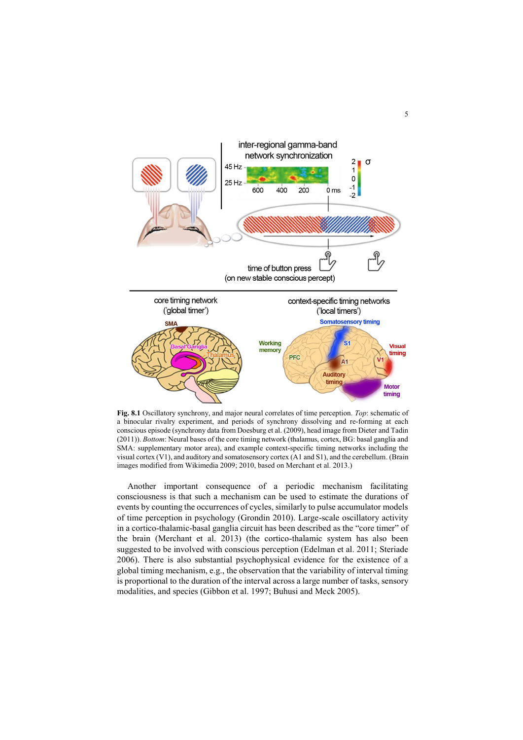

**Fig. 8.1** Oscillatory synchrony, and major neural correlates of time perception. *Top*: schematic of a binocular rivalry experiment, and periods of synchrony dissolving and re-forming at each conscious episode (synchrony data from Doesburg et al. (2009), head image from Dieter and Tadin (2011)). *Bottom*: Neural bases of the core timing network (thalamus, cortex, BG: basal ganglia and SMA: supplementary motor area), and example context-specific timing networks including the visual cortex (V1), and auditory and somatosensory cortex (A1 and S1), and the cerebellum. (Brain images modified from Wikimedia 2009; 2010, based on Merchant et al. 2013.)

Another important consequence of a periodic mechanism facilitating consciousness is that such a mechanism can be used to estimate the durations of events by counting the occurrences of cycles, similarly to pulse accumulator models of time perception in psychology (Grondin 2010). Large-scale oscillatory activity in a cortico-thalamic-basal ganglia circuit has been described as the "core timer" of the brain (Merchant et al. 2013) (the cortico-thalamic system has also been suggested to be involved with conscious perception (Edelman et al. 2011; Steriade 2006). There is also substantial psychophysical evidence for the existence of a global timing mechanism, e.g., the observation that the variability of interval timing is proportional to the duration of the interval across a large number of tasks, sensory modalities, and species (Gibbon et al. 1997; Buhusi and Meck 2005).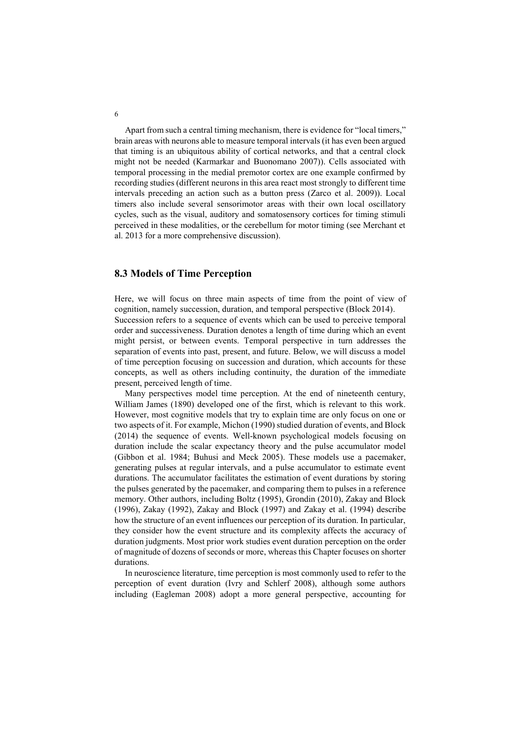Apart from such a central timing mechanism, there is evidence for "local timers," brain areas with neurons able to measure temporal intervals (it has even been argued that timing is an ubiquitous ability of cortical networks, and that a central clock might not be needed (Karmarkar and Buonomano 2007)). Cells associated with temporal processing in the medial premotor cortex are one example confirmed by recording studies (different neurons in this area react most strongly to different time intervals preceding an action such as a button press (Zarco et al. 2009)). Local timers also include several sensorimotor areas with their own local oscillatory cycles, such as the visual, auditory and somatosensory cortices for timing stimuli perceived in these modalities, or the cerebellum for motor timing (see Merchant et al. 2013 for a more comprehensive discussion).

## **8.3 Models of Time Perception**

Here, we will focus on three main aspects of time from the point of view of cognition, namely succession, duration, and temporal perspective (Block 2014). Succession refers to a sequence of events which can be used to perceive temporal order and successiveness. Duration denotes a length of time during which an event might persist, or between events. Temporal perspective in turn addresses the separation of events into past, present, and future. Below, we will discuss a model of time perception focusing on succession and duration, which accounts for these concepts, as well as others including continuity, the duration of the immediate present, perceived length of time.

Many perspectives model time perception. At the end of nineteenth century, William James (1890) developed one of the first, which is relevant to this work. However, most cognitive models that try to explain time are only focus on one or two aspects of it. For example, Michon (1990) studied duration of events, and Block (2014) the sequence of events. Well-known psychological models focusing on duration include the scalar expectancy theory and the pulse accumulator model (Gibbon et al. 1984; Buhusi and Meck 2005). These models use a pacemaker, generating pulses at regular intervals, and a pulse accumulator to estimate event durations. The accumulator facilitates the estimation of event durations by storing the pulses generated by the pacemaker, and comparing them to pulses in a reference memory. Other authors, including Boltz (1995), Grondin (2010), Zakay and Block (1996), Zakay (1992), Zakay and Block (1997) and Zakay et al. (1994) describe how the structure of an event influences our perception of its duration. In particular, they consider how the event structure and its complexity affects the accuracy of duration judgments. Most prior work studies event duration perception on the order of magnitude of dozens of seconds or more, whereas this Chapter focuses on shorter durations.

In neuroscience literature, time perception is most commonly used to refer to the perception of event duration (Ivry and Schlerf 2008), although some authors including (Eagleman 2008) adopt a more general perspective, accounting for

6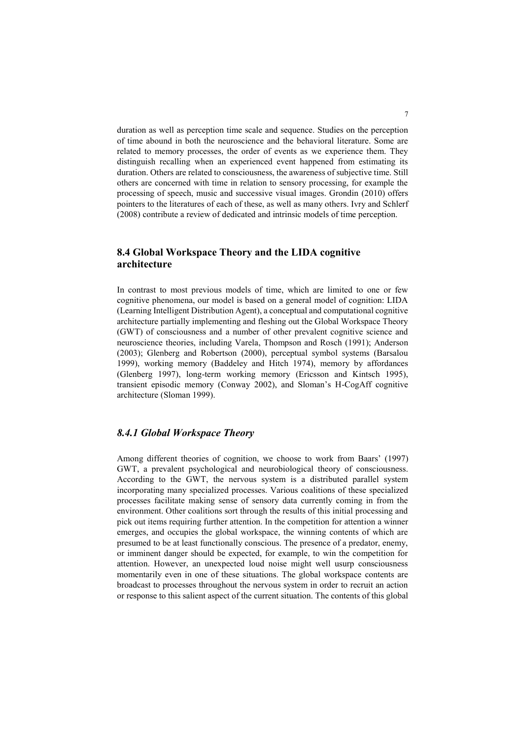duration as well as perception time scale and sequence. Studies on the perception of time abound in both the neuroscience and the behavioral literature. Some are related to memory processes, the order of events as we experience them. They distinguish recalling when an experienced event happened from estimating its duration. Others are related to consciousness, the awareness of subjective time. Still others are concerned with time in relation to sensory processing, for example the processing of speech, music and successive visual images. Grondin (2010) offers pointers to the literatures of each of these, as well as many others. Ivry and Schlerf (2008) contribute a review of dedicated and intrinsic models of time perception.

## **8.4 Global Workspace Theory and the LIDA cognitive architecture**

In contrast to most previous models of time, which are limited to one or few cognitive phenomena, our model is based on a general model of cognition: LIDA (Learning Intelligent Distribution Agent), a conceptual and computational cognitive architecture partially implementing and fleshing out the Global Workspace Theory (GWT) of consciousness and a number of other prevalent cognitive science and neuroscience theories, including Varela, Thompson and Rosch (1991); Anderson (2003); Glenberg and Robertson (2000), perceptual symbol systems (Barsalou 1999), working memory (Baddeley and Hitch 1974), memory by affordances (Glenberg 1997), long-term working memory (Ericsson and Kintsch 1995), transient episodic memory (Conway 2002), and Sloman's H-CogAff cognitive architecture (Sloman 1999).

## *8.4.1 Global Workspace Theory*

Among different theories of cognition, we choose to work from Baars' (1997) GWT, a prevalent psychological and neurobiological theory of consciousness. According to the GWT, the nervous system is a distributed parallel system incorporating many specialized processes. Various coalitions of these specialized processes facilitate making sense of sensory data currently coming in from the environment. Other coalitions sort through the results of this initial processing and pick out items requiring further attention. In the competition for attention a winner emerges, and occupies the global workspace, the winning contents of which are presumed to be at least functionally conscious. The presence of a predator, enemy, or imminent danger should be expected, for example, to win the competition for attention. However, an unexpected loud noise might well usurp consciousness momentarily even in one of these situations. The global workspace contents are broadcast to processes throughout the nervous system in order to recruit an action or response to this salient aspect of the current situation. The contents of this global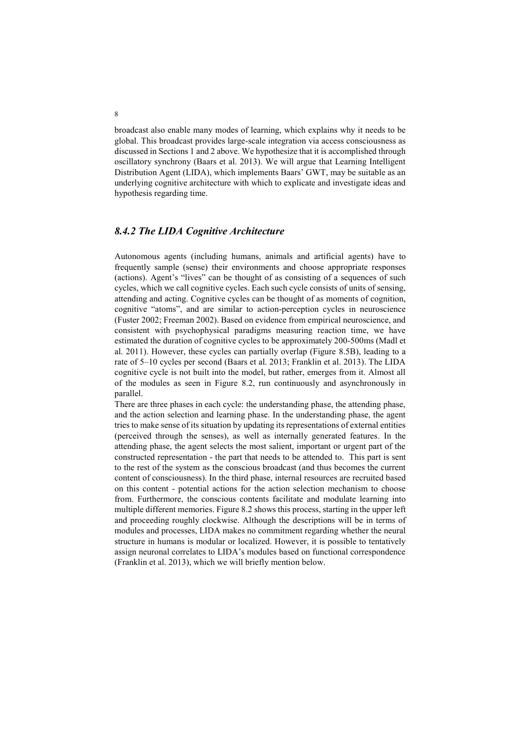broadcast also enable many modes of learning, which explains why it needs to be global. This broadcast provides large-scale integration via access consciousness as discussed in Sections 1 and 2 above. We hypothesize that it is accomplished through oscillatory synchrony (Baars et al. 2013). We will argue that Learning Intelligent Distribution Agent (LIDA), which implements Baars' GWT, may be suitable as an underlying cognitive architecture with which to explicate and investigate ideas and hypothesis regarding time.

### *8.4.2 The LIDA Cognitive Architecture*

Autonomous agents (including humans, animals and artificial agents) have to frequently sample (sense) their environments and choose appropriate responses (actions). Agent's "lives" can be thought of as consisting of a sequences of such cycles, which we call cognitive cycles. Each such cycle consists of units of sensing, attending and acting. Cognitive cycles can be thought of as moments of cognition, cognitive "atoms", and are similar to action-perception cycles in neuroscience (Fuster 2002; Freeman 2002). Based on evidence from empirical neuroscience, and consistent with psychophysical paradigms measuring reaction time, we have estimated the duration of cognitive cycles to be approximately 200-500ms (Madl et al. 2011). However, these cycles can partially overlap (Figure 8.5B), leading to a rate of 5–10 cycles per second (Baars et al. 2013; Franklin et al. 2013). The LIDA cognitive cycle is not built into the model, but rather, emerges from it. Almost all of the modules as seen in Figure 8.2, run continuously and asynchronously in parallel.

There are three phases in each cycle: the understanding phase, the attending phase, and the action selection and learning phase. In the understanding phase, the agent tries to make sense of its situation by updating its representations of external entities (perceived through the senses), as well as internally generated features. In the attending phase, the agent selects the most salient, important or urgent part of the constructed representation - the part that needs to be attended to. This part is sent to the rest of the system as the conscious broadcast (and thus becomes the current content of consciousness). In the third phase, internal resources are recruited based on this content - potential actions for the action selection mechanism to choose from. Furthermore, the conscious contents facilitate and modulate learning into multiple different memories. Figure 8.2 shows this process, starting in the upper left and proceeding roughly clockwise. Although the descriptions will be in terms of modules and processes, LIDA makes no commitment regarding whether the neural structure in humans is modular or localized. However, it is possible to tentatively assign neuronal correlates to LIDA's modules based on functional correspondence (Franklin et al. 2013), which we will briefly mention below.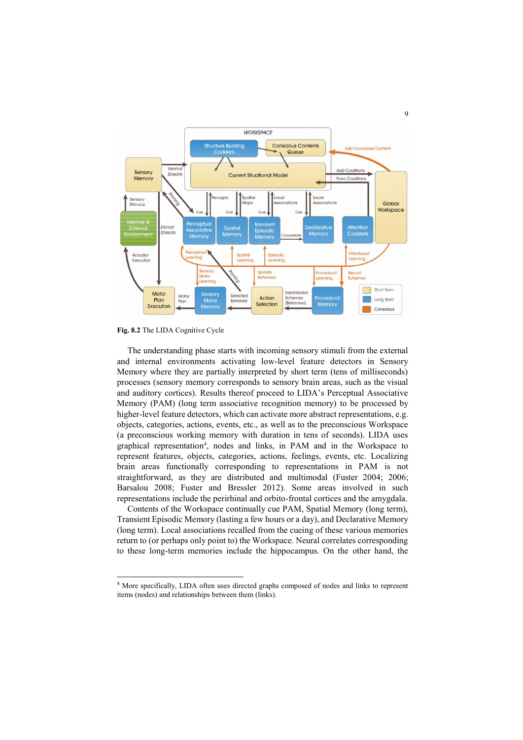

**Fig. 8.2** The LIDA Cognitive Cycle

1

The understanding phase starts with incoming sensory stimuli from the external and internal environments activating low-level feature detectors in Sensory Memory where they are partially interpreted by short term (tens of milliseconds) processes (sensory memory corresponds to sensory brain areas, such as the visual and auditory cortices). Results thereof proceed to LIDA's Perceptual Associative Memory (PAM) (long term associative recognition memory) to be processed by higher-level feature detectors, which can activate more abstract representations, e.g. objects, categories, actions, events, etc., as well as to the preconscious Workspace (a preconscious working memory with duration in tens of seconds). LIDA uses graphical representation<sup>4</sup>, nodes and links, in PAM and in the Workspace to represent features, objects, categories, actions, feelings, events, etc. Localizing brain areas functionally corresponding to representations in PAM is not straightforward, as they are distributed and multimodal (Fuster 2004; 2006; Barsalou 2008; Fuster and Bressler 2012). Some areas involved in such representations include the perirhinal and orbito-frontal cortices and the amygdala.

Contents of the Workspace continually cue PAM, Spatial Memory (long term), Transient Episodic Memory (lasting a few hours or a day), and Declarative Memory (long term). Local associations recalled from the cueing of these various memories return to (or perhaps only point to) the Workspace. Neural correlates corresponding to these long-term memories include the hippocampus. On the other hand, the

9

<sup>4</sup> More specifically, LIDA often uses directed graphs composed of nodes and links to represent items (nodes) and relationships between them (links).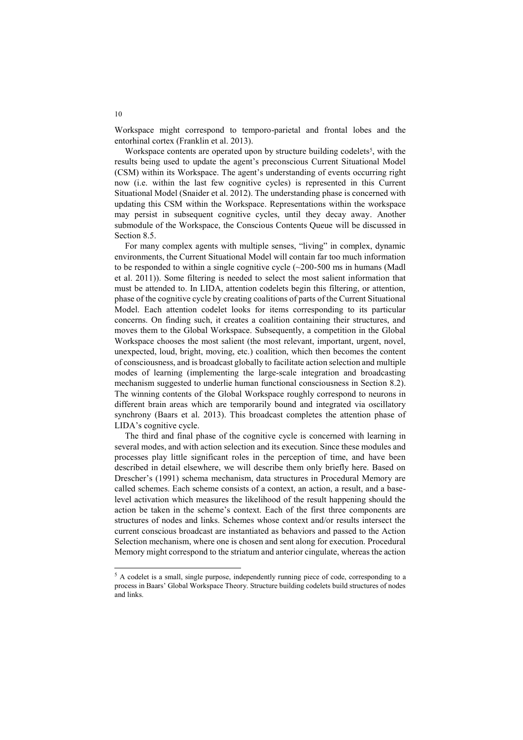Workspace might correspond to temporo-parietal and frontal lobes and the entorhinal cortex (Franklin et al. 2013).

Workspace contents are operated upon by structure building codelets<sup>5</sup>, with the results being used to update the agent's preconscious Current Situational Model (CSM) within its Workspace. The agent's understanding of events occurring right now (i.e. within the last few cognitive cycles) is represented in this Current Situational Model (Snaider et al. 2012). The understanding phase is concerned with updating this CSM within the Workspace. Representations within the workspace may persist in subsequent cognitive cycles, until they decay away. Another submodule of the Workspace, the Conscious Contents Queue will be discussed in Section 8.5.

For many complex agents with multiple senses, "living" in complex, dynamic environments, the Current Situational Model will contain far too much information to be responded to within a single cognitive cycle  $(\sim 200-500 \text{ ms in humans (Madl})$ et al. 2011)). Some filtering is needed to select the most salient information that must be attended to. In LIDA, attention codelets begin this filtering, or attention, phase of the cognitive cycle by creating coalitions of parts of the Current Situational Model. Each attention codelet looks for items corresponding to its particular concerns. On finding such, it creates a coalition containing their structures, and moves them to the Global Workspace. Subsequently, a competition in the Global Workspace chooses the most salient (the most relevant, important, urgent, novel, unexpected, loud, bright, moving, etc.) coalition, which then becomes the content of consciousness, and is broadcast globally to facilitate action selection and multiple modes of learning (implementing the large-scale integration and broadcasting mechanism suggested to underlie human functional consciousness in Section 8.2). The winning contents of the Global Workspace roughly correspond to neurons in different brain areas which are temporarily bound and integrated via oscillatory synchrony (Baars et al. 2013). This broadcast completes the attention phase of LIDA's cognitive cycle.

The third and final phase of the cognitive cycle is concerned with learning in several modes, and with action selection and its execution. Since these modules and processes play little significant roles in the perception of time, and have been described in detail elsewhere, we will describe them only briefly here. Based on Drescher's (1991) schema mechanism, data structures in Procedural Memory are called schemes. Each scheme consists of a context, an action, a result, and a baselevel activation which measures the likelihood of the result happening should the action be taken in the scheme's context. Each of the first three components are structures of nodes and links. Schemes whose context and/or results intersect the current conscious broadcast are instantiated as behaviors and passed to the Action Selection mechanism, where one is chosen and sent along for execution. Procedural Memory might correspond to the striatum and anterior cingulate, whereas the action

-

<sup>&</sup>lt;sup>5</sup> A codelet is a small, single purpose, independently running piece of code, corresponding to a process in Baars' Global Workspace Theory. Structure building codelets build structures of nodes and links.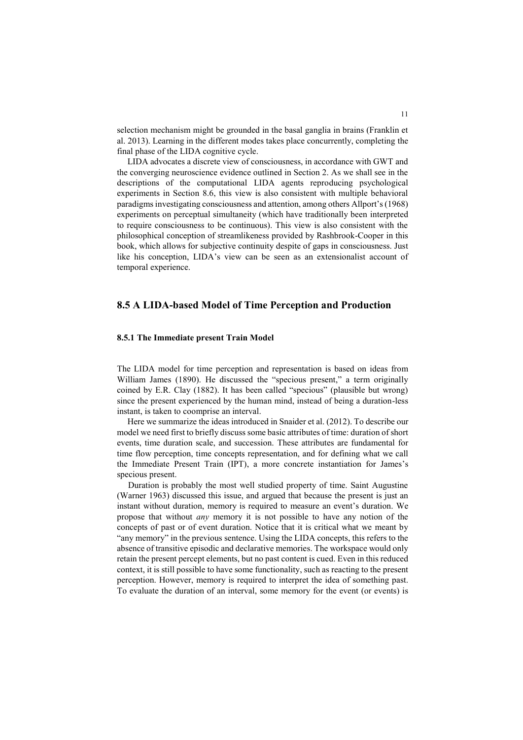selection mechanism might be grounded in the basal ganglia in brains (Franklin et al. 2013). Learning in the different modes takes place concurrently, completing the final phase of the LIDA cognitive cycle.

LIDA advocates a discrete view of consciousness, in accordance with GWT and the converging neuroscience evidence outlined in Section 2. As we shall see in the descriptions of the computational LIDA agents reproducing psychological experiments in Section 8.6, this view is also consistent with multiple behavioral paradigms investigating consciousness and attention, among others Allport's (1968) experiments on perceptual simultaneity (which have traditionally been interpreted to require consciousness to be continuous). This view is also consistent with the philosophical conception of streamlikeness provided by Rashbrook-Cooper in this book, which allows for subjective continuity despite of gaps in consciousness. Just like his conception, LIDA's view can be seen as an extensionalist account of temporal experience.

#### **8.5 A LIDA-based Model of Time Perception and Production**

#### **8.5.1 The Immediate present Train Model**

The LIDA model for time perception and representation is based on ideas from William James (1890). He discussed the "specious present," a term originally coined by E.R. Clay (1882). It has been called "specious" (plausible but wrong) since the present experienced by the human mind, instead of being a duration-less instant, is taken to coomprise an interval.

Here we summarize the ideas introduced in Snaider et al. (2012). To describe our model we need first to briefly discuss some basic attributes of time: duration of short events, time duration scale, and succession. These attributes are fundamental for time flow perception, time concepts representation, and for defining what we call the Immediate Present Train (IPT), a more concrete instantiation for James's specious present.

 Duration is probably the most well studied property of time. Saint Augustine (Warner 1963) discussed this issue, and argued that because the present is just an instant without duration, memory is required to measure an event's duration. We propose that without *any* memory it is not possible to have any notion of the concepts of past or of event duration. Notice that it is critical what we meant by "any memory" in the previous sentence. Using the LIDA concepts, this refers to the absence of transitive episodic and declarative memories. The workspace would only retain the present percept elements, but no past content is cued. Even in this reduced context, it is still possible to have some functionality, such as reacting to the present perception. However, memory is required to interpret the idea of something past. To evaluate the duration of an interval, some memory for the event (or events) is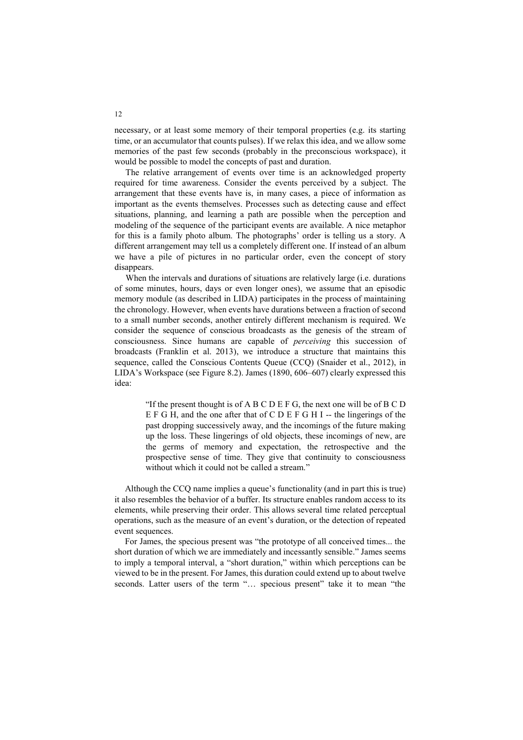necessary, or at least some memory of their temporal properties (e.g. its starting time, or an accumulator that counts pulses). If we relax this idea, and we allow some memories of the past few seconds (probably in the preconscious workspace), it would be possible to model the concepts of past and duration.

 The relative arrangement of events over time is an acknowledged property required for time awareness. Consider the events perceived by a subject. The arrangement that these events have is, in many cases, a piece of information as important as the events themselves. Processes such as detecting cause and effect situations, planning, and learning a path are possible when the perception and modeling of the sequence of the participant events are available. A nice metaphor for this is a family photo album. The photographs' order is telling us a story. A different arrangement may tell us a completely different one. If instead of an album we have a pile of pictures in no particular order, even the concept of story disappears.

 When the intervals and durations of situations are relatively large (i.e. durations of some minutes, hours, days or even longer ones), we assume that an episodic memory module (as described in LIDA) participates in the process of maintaining the chronology. However, when events have durations between a fraction of second to a small number seconds, another entirely different mechanism is required. We consider the sequence of conscious broadcasts as the genesis of the stream of consciousness. Since humans are capable of *perceiving* this succession of broadcasts (Franklin et al. 2013), we introduce a structure that maintains this sequence, called the Conscious Contents Queue (CCQ) (Snaider et al., 2012), in LIDA's Workspace (see Figure 8.2). James (1890, 606–607) clearly expressed this idea:

> "If the present thought is of A B C D E F G, the next one will be of B C D  $E F G H$ , and the one after that of C D E F G H I -- the lingerings of the past dropping successively away, and the incomings of the future making up the loss. These lingerings of old objects, these incomings of new, are the germs of memory and expectation, the retrospective and the prospective sense of time. They give that continuity to consciousness without which it could not be called a stream."

Although the CCQ name implies a queue's functionality (and in part this is true) it also resembles the behavior of a buffer. Its structure enables random access to its elements, while preserving their order. This allows several time related perceptual operations, such as the measure of an event's duration, or the detection of repeated event sequences.

For James, the specious present was "the prototype of all conceived times... the short duration of which we are immediately and incessantly sensible." James seems to imply a temporal interval, a "short duration," within which perceptions can be viewed to be in the present. For James, this duration could extend up to about twelve seconds. Latter users of the term "… specious present" take it to mean "the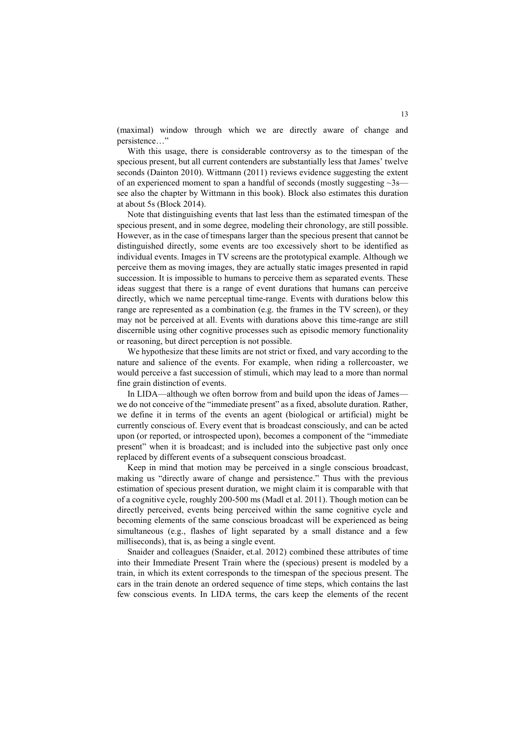(maximal) window through which we are directly aware of change and persistence…"

With this usage, there is considerable controversy as to the timespan of the specious present, but all current contenders are substantially less that James' twelve seconds (Dainton 2010). Wittmann (2011) reviews evidence suggesting the extent of an experienced moment to span a handful of seconds (mostly suggesting  $\sim$ 3s see also the chapter by Wittmann in this book). Block also estimates this duration at about 5s (Block 2014).

Note that distinguishing events that last less than the estimated timespan of the specious present, and in some degree, modeling their chronology, are still possible. However, as in the case of timespans larger than the specious present that cannot be distinguished directly, some events are too excessively short to be identified as individual events. Images in TV screens are the prototypical example. Although we perceive them as moving images, they are actually static images presented in rapid succession. It is impossible to humans to perceive them as separated events. These ideas suggest that there is a range of event durations that humans can perceive directly, which we name perceptual time-range. Events with durations below this range are represented as a combination (e.g. the frames in the TV screen), or they may not be perceived at all. Events with durations above this time-range are still discernible using other cognitive processes such as episodic memory functionality or reasoning, but direct perception is not possible.

We hypothesize that these limits are not strict or fixed, and vary according to the nature and salience of the events. For example, when riding a rollercoaster, we would perceive a fast succession of stimuli, which may lead to a more than normal fine grain distinction of events.

In LIDA—although we often borrow from and build upon the ideas of James we do not conceive of the "immediate present" as a fixed, absolute duration. Rather, we define it in terms of the events an agent (biological or artificial) might be currently conscious of. Every event that is broadcast consciously, and can be acted upon (or reported, or introspected upon), becomes a component of the "immediate present" when it is broadcast; and is included into the subjective past only once replaced by different events of a subsequent conscious broadcast.

Keep in mind that motion may be perceived in a single conscious broadcast, making us "directly aware of change and persistence." Thus with the previous estimation of specious present duration, we might claim it is comparable with that of a cognitive cycle, roughly 200-500 ms (Madl et al. 2011). Though motion can be directly perceived, events being perceived within the same cognitive cycle and becoming elements of the same conscious broadcast will be experienced as being simultaneous (e.g., flashes of light separated by a small distance and a few milliseconds), that is, as being a single event.

Snaider and colleagues (Snaider, et.al. 2012) combined these attributes of time into their Immediate Present Train where the (specious) present is modeled by a train, in which its extent corresponds to the timespan of the specious present. The cars in the train denote an ordered sequence of time steps, which contains the last few conscious events. In LIDA terms, the cars keep the elements of the recent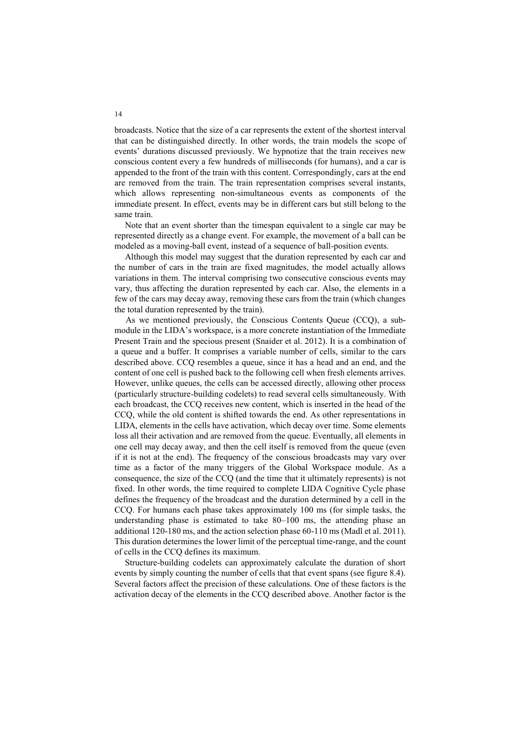broadcasts. Notice that the size of a car represents the extent of the shortest interval that can be distinguished directly. In other words, the train models the scope of events' durations discussed previously. We hypnotize that the train receives new conscious content every a few hundreds of milliseconds (for humans), and a car is appended to the front of the train with this content. Correspondingly, cars at the end are removed from the train. The train representation comprises several instants, which allows representing non-simultaneous events as components of the immediate present. In effect, events may be in different cars but still belong to the same train.

Note that an event shorter than the timespan equivalent to a single car may be represented directly as a change event. For example, the movement of a ball can be modeled as a moving-ball event, instead of a sequence of ball-position events.

Although this model may suggest that the duration represented by each car and the number of cars in the train are fixed magnitudes, the model actually allows variations in them. The interval comprising two consecutive conscious events may vary, thus affecting the duration represented by each car. Also, the elements in a few of the cars may decay away, removing these cars from the train (which changes the total duration represented by the train).

 As we mentioned previously, the Conscious Contents Queue (CCQ), a submodule in the LIDA's workspace, is a more concrete instantiation of the Immediate Present Train and the specious present (Snaider et al. 2012). It is a combination of a queue and a buffer. It comprises a variable number of cells, similar to the cars described above. CCQ resembles a queue, since it has a head and an end, and the content of one cell is pushed back to the following cell when fresh elements arrives. However, unlike queues, the cells can be accessed directly, allowing other process (particularly structure-building codelets) to read several cells simultaneously. With each broadcast, the CCQ receives new content, which is inserted in the head of the CCQ, while the old content is shifted towards the end. As other representations in LIDA, elements in the cells have activation, which decay over time. Some elements loss all their activation and are removed from the queue. Eventually, all elements in one cell may decay away, and then the cell itself is removed from the queue (even if it is not at the end). The frequency of the conscious broadcasts may vary over time as a factor of the many triggers of the Global Workspace module. As a consequence, the size of the CCQ (and the time that it ultimately represents) is not fixed. In other words, the time required to complete LIDA Cognitive Cycle phase defines the frequency of the broadcast and the duration determined by a cell in the CCQ. For humans each phase takes approximately 100 ms (for simple tasks, the understanding phase is estimated to take 80–100 ms, the attending phase an additional 120-180 ms, and the action selection phase 60-110 ms (Madl et al. 2011). This duration determines the lower limit of the perceptual time-range, and the count of cells in the CCQ defines its maximum.

Structure-building codelets can approximately calculate the duration of short events by simply counting the number of cells that that event spans (see figure 8.4). Several factors affect the precision of these calculations. One of these factors is the activation decay of the elements in the CCQ described above. Another factor is the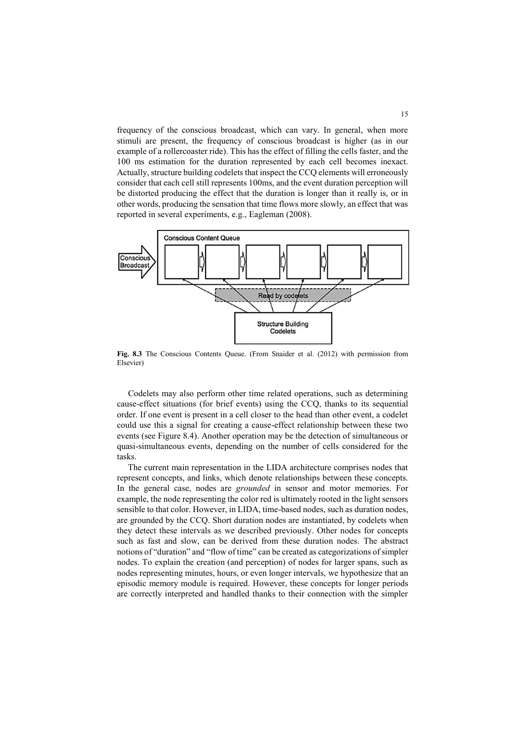frequency of the conscious broadcast, which can vary. In general, when more stimuli are present, the frequency of conscious broadcast is higher (as in our example of a rollercoaster ride). This has the effect of filling the cells faster, and the 100 ms estimation for the duration represented by each cell becomes inexact. Actually, structure building codelets that inspect the CCQ elements will erroneously consider that each cell still represents 100ms, and the event duration perception will be distorted producing the effect that the duration is longer than it really is, or in other words, producing the sensation that time flows more slowly, an effect that was reported in several experiments, e.g., Eagleman (2008).



**Fig. 8.3** The Conscious Contents Queue. (From Snaider et al. (2012) with permission from Elsevier)

 Codelets may also perform other time related operations, such as determining cause-effect situations (for brief events) using the CCQ, thanks to its sequential order. If one event is present in a cell closer to the head than other event, a codelet could use this a signal for creating a cause-effect relationship between these two events (see Figure 8.4). Another operation may be the detection of simultaneous or quasi-simultaneous events, depending on the number of cells considered for the tasks.

 The current main representation in the LIDA architecture comprises nodes that represent concepts, and links, which denote relationships between these concepts. In the general case, nodes are *grounded* in sensor and motor memories. For example, the node representing the color red is ultimately rooted in the light sensors sensible to that color. However, in LIDA, time-based nodes, such as duration nodes, are grounded by the CCQ. Short duration nodes are instantiated, by codelets when they detect these intervals as we described previously. Other nodes for concepts such as fast and slow, can be derived from these duration nodes. The abstract notions of "duration" and "flow of time" can be created as categorizations of simpler nodes. To explain the creation (and perception) of nodes for larger spans, such as nodes representing minutes, hours, or even longer intervals, we hypothesize that an episodic memory module is required. However, these concepts for longer periods are correctly interpreted and handled thanks to their connection with the simpler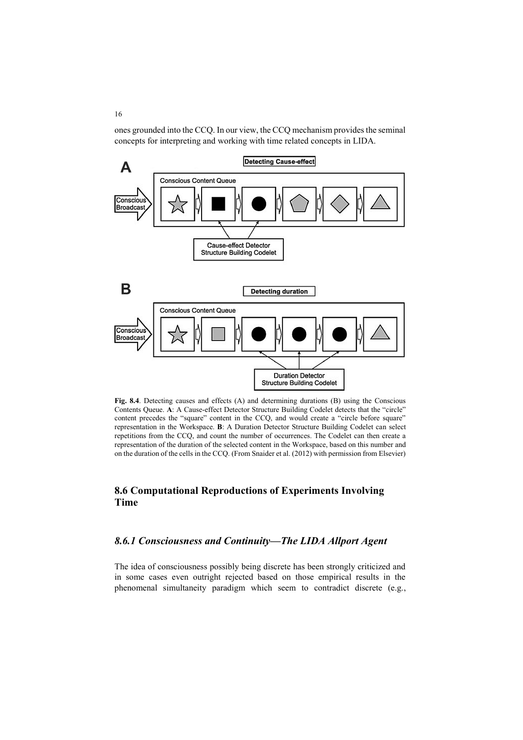ones grounded into the CCQ. In our view, the CCQ mechanism provides the seminal concepts for interpreting and working with time related concepts in LIDA.



**Fig. 8.4**. Detecting causes and effects (A) and determining durations (B) using the Conscious Contents Queue. **A**: A Cause-effect Detector Structure Building Codelet detects that the "circle" content precedes the "square" content in the CCQ, and would create a "circle before square" representation in the Workspace. **B**: A Duration Detector Structure Building Codelet can select repetitions from the CCQ, and count the number of occurrences. The Codelet can then create a representation of the duration of the selected content in the Workspace, based on this number and on the duration of the cells in the CCQ. (From Snaider et al. (2012) with permission from Elsevier)

# **8.6 Computational Reproductions of Experiments Involving Time**

## *8.6.1 Consciousness and Continuity—The LIDA Allport Agent*

The idea of consciousness possibly being discrete has been strongly criticized and in some cases even outright rejected based on those empirical results in the phenomenal simultaneity paradigm which seem to contradict discrete (e.g.,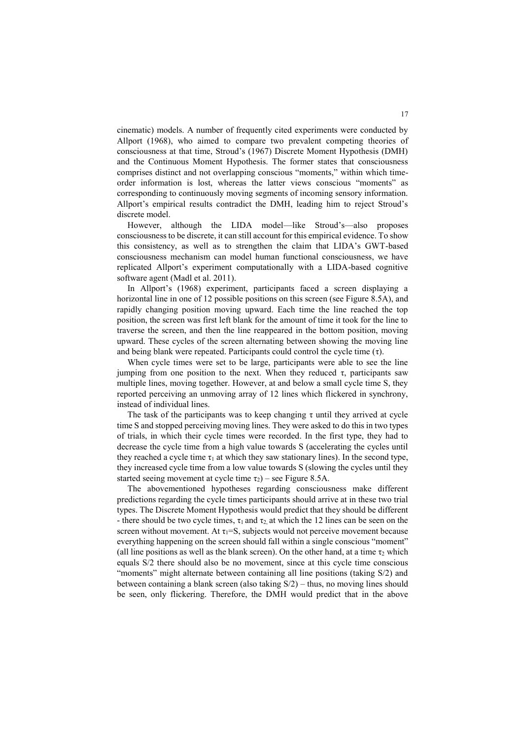cinematic) models. A number of frequently cited experiments were conducted by Allport (1968), who aimed to compare two prevalent competing theories of consciousness at that time, Stroud's (1967) Discrete Moment Hypothesis (DMH) and the Continuous Moment Hypothesis. The former states that consciousness comprises distinct and not overlapping conscious "moments," within which timeorder information is lost, whereas the latter views conscious "moments" as corresponding to continuously moving segments of incoming sensory information. Allport's empirical results contradict the DMH, leading him to reject Stroud's discrete model.

However, although the LIDA model—like Stroud's—also proposes consciousness to be discrete, it can still account for this empirical evidence. To show this consistency, as well as to strengthen the claim that LIDA's GWT-based consciousness mechanism can model human functional consciousness, we have replicated Allport's experiment computationally with a LIDA-based cognitive software agent (Madl et al. 2011).

In Allport's (1968) experiment, participants faced a screen displaying a horizontal line in one of 12 possible positions on this screen (see Figure 8.5A), and rapidly changing position moving upward. Each time the line reached the top position, the screen was first left blank for the amount of time it took for the line to traverse the screen, and then the line reappeared in the bottom position, moving upward. These cycles of the screen alternating between showing the moving line and being blank were repeated. Participants could control the cycle time  $(\tau)$ .

When cycle times were set to be large, participants were able to see the line jumping from one position to the next. When they reduced τ, participants saw multiple lines, moving together. However, at and below a small cycle time S, they reported perceiving an unmoving array of 12 lines which flickered in synchrony, instead of individual lines.

The task of the participants was to keep changing  $\tau$  until they arrived at cycle time S and stopped perceiving moving lines. They were asked to do this in two types of trials, in which their cycle times were recorded. In the first type, they had to decrease the cycle time from a high value towards S (accelerating the cycles until they reached a cycle time  $\tau_1$  at which they saw stationary lines). In the second type, they increased cycle time from a low value towards S (slowing the cycles until they started seeing movement at cycle time  $\tau_2$ ) – see Figure 8.5A.

The abovementioned hypotheses regarding consciousness make different predictions regarding the cycle times participants should arrive at in these two trial types. The Discrete Moment Hypothesis would predict that they should be different - there should be two cycle times,  $\tau_1$  and  $\tau_2$  at which the 12 lines can be seen on the screen without movement. At  $\tau_1 = S$ , subjects would not perceive movement because everything happening on the screen should fall within a single conscious "moment" (all line positions as well as the blank screen). On the other hand, at a time  $\tau_2$  which equals S/2 there should also be no movement, since at this cycle time conscious "moments" might alternate between containing all line positions (taking S/2) and between containing a blank screen (also taking S/2) – thus, no moving lines should be seen, only flickering. Therefore, the DMH would predict that in the above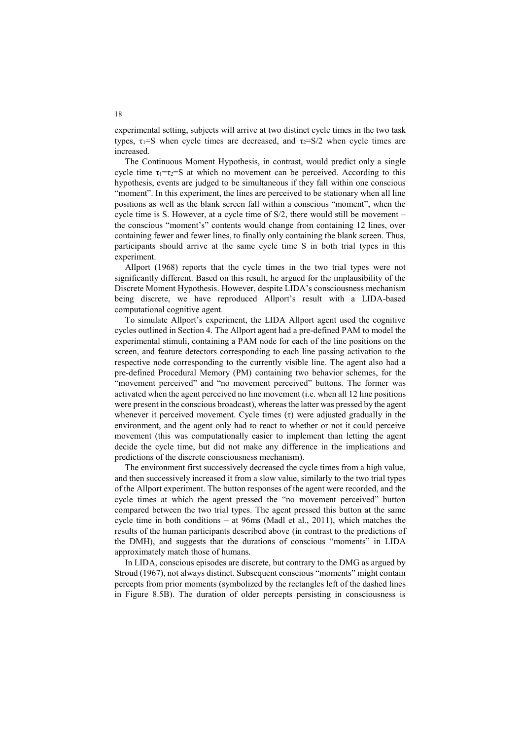experimental setting, subjects will arrive at two distinct cycle times in the two task types,  $\tau_1 = S$  when cycle times are decreased, and  $\tau_2 = S/2$  when cycle times are increased.

The Continuous Moment Hypothesis, in contrast, would predict only a single cycle time  $\tau_1=\tau_2=S$  at which no movement can be perceived. According to this hypothesis, events are judged to be simultaneous if they fall within one conscious "moment". In this experiment, the lines are perceived to be stationary when all line positions as well as the blank screen fall within a conscious "moment", when the cycle time is S. However, at a cycle time of S/2, there would still be movement – the conscious "moment's" contents would change from containing 12 lines, over containing fewer and fewer lines, to finally only containing the blank screen. Thus, participants should arrive at the same cycle time S in both trial types in this experiment.

Allport (1968) reports that the cycle times in the two trial types were not significantly different. Based on this result, he argued for the implausibility of the Discrete Moment Hypothesis. However, despite LIDA's consciousness mechanism being discrete, we have reproduced Allport's result with a LIDA-based computational cognitive agent.

To simulate Allport's experiment, the LIDA Allport agent used the cognitive cycles outlined in Section 4. The Allport agent had a pre-defined PAM to model the experimental stimuli, containing a PAM node for each of the line positions on the screen, and feature detectors corresponding to each line passing activation to the respective node corresponding to the currently visible line. The agent also had a pre-defined Procedural Memory (PM) containing two behavior schemes, for the "movement perceived" and "no movement perceived" buttons. The former was activated when the agent perceived no line movement (i.e. when all 12 line positions were present in the conscious broadcast), whereas the latter was pressed by the agent whenever it perceived movement. Cycle times  $(τ)$  were adjusted gradually in the environment, and the agent only had to react to whether or not it could perceive movement (this was computationally easier to implement than letting the agent decide the cycle time, but did not make any difference in the implications and predictions of the discrete consciousness mechanism).

The environment first successively decreased the cycle times from a high value, and then successively increased it from a slow value, similarly to the two trial types of the Allport experiment. The button responses of the agent were recorded, and the cycle times at which the agent pressed the "no movement perceived" button compared between the two trial types. The agent pressed this button at the same cycle time in both conditions – at  $96$ ms (Madl et al., 2011), which matches the results of the human participants described above (in contrast to the predictions of the DMH), and suggests that the durations of conscious "moments" in LIDA approximately match those of humans.

In LIDA, conscious episodes are discrete, but contrary to the DMG as argued by Stroud (1967), not always distinct. Subsequent conscious "moments" might contain percepts from prior moments (symbolized by the rectangles left of the dashed lines in Figure 8.5B). The duration of older percepts persisting in consciousness is

18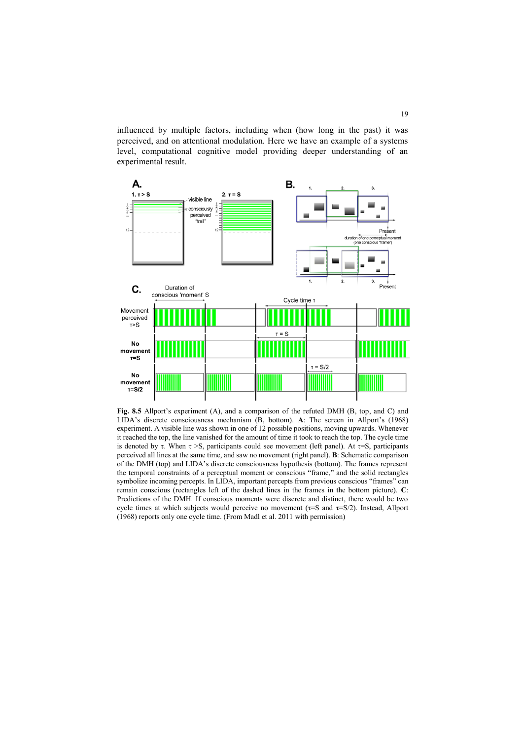influenced by multiple factors, including when (how long in the past) it was perceived, and on attentional modulation. Here we have an example of a systems level, computational cognitive model providing deeper understanding of an experimental result.



**Fig. 8.5** Allport's experiment (A), and a comparison of the refuted DMH (B, top, and C) and LIDA's discrete consciousness mechanism (B, bottom). **A**: The screen in Allport's (1968) experiment. A visible line was shown in one of 12 possible positions, moving upwards. Whenever it reached the top, the line vanished for the amount of time it took to reach the top. The cycle time is denoted by  $\tau$ . When  $\tau > S$ , participants could see movement (left panel). At  $\tau = S$ , participants perceived all lines at the same time, and saw no movement (right panel). **B**: Schematic comparison of the DMH (top) and LIDA's discrete consciousness hypothesis (bottom). The frames represent the temporal constraints of a perceptual moment or conscious "frame," and the solid rectangles symbolize incoming percepts. In LIDA, important percepts from previous conscious "frames" can remain conscious (rectangles left of the dashed lines in the frames in the bottom picture). **C**: Predictions of the DMH. If conscious moments were discrete and distinct, there would be two cycle times at which subjects would perceive no movement ( $\tau$ =S and  $\tau$ =S/2). Instead, Allport (1968) reports only one cycle time. (From Madl et al. 2011 with permission)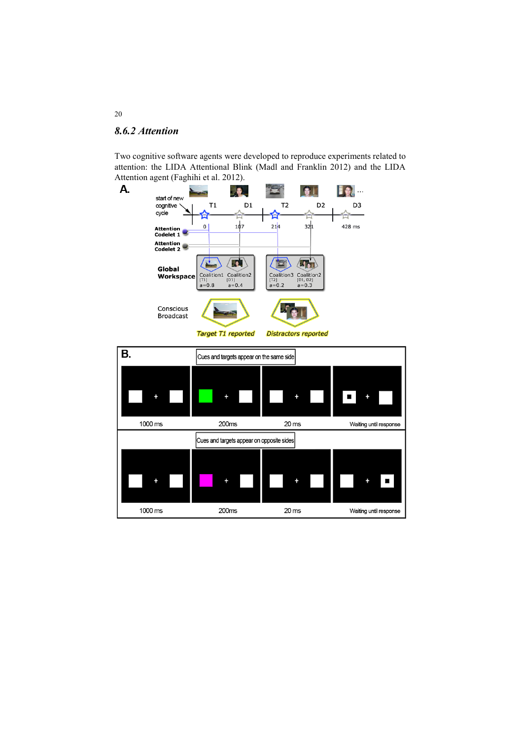## *8.6.2 Attention*

Two cognitive software agents were developed to reproduce experiments related to attention: the LIDA Attentional Blink (Madl and Franklin 2012) and the LIDA Attention agent (Faghihi et al. 2012).



20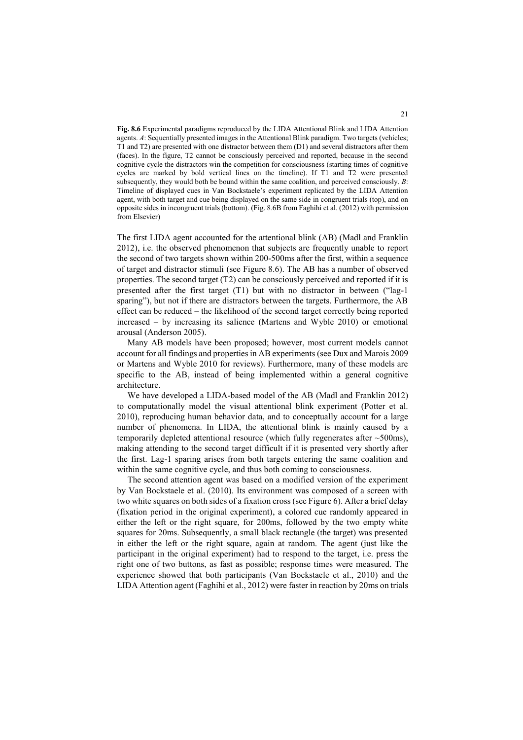**Fig. 8.6** Experimental paradigms reproduced by the LIDA Attentional Blink and LIDA Attention agents. *A*: Sequentially presented images in the Attentional Blink paradigm. Two targets (vehicles; T1 and T2) are presented with one distractor between them (D1) and several distractors after them (faces). In the figure, T2 cannot be consciously perceived and reported, because in the second cognitive cycle the distractors win the competition for consciousness (starting times of cognitive cycles are marked by bold vertical lines on the timeline). If T1 and T2 were presented subsequently, they would both be bound within the same coalition, and perceived consciously. *B*: Timeline of displayed cues in Van Bockstaele's experiment replicated by the LIDA Attention agent, with both target and cue being displayed on the same side in congruent trials (top), and on opposite sides in incongruent trials (bottom). (Fig. 8.6B from Faghihi et al. (2012) with permission from Elsevier)

The first LIDA agent accounted for the attentional blink (AB) (Madl and Franklin 2012), i.e. the observed phenomenon that subjects are frequently unable to report the second of two targets shown within 200-500ms after the first, within a sequence of target and distractor stimuli (see Figure 8.6). The AB has a number of observed properties. The second target (T2) can be consciously perceived and reported if it is presented after the first target (T1) but with no distractor in between ("lag-1 sparing"), but not if there are distractors between the targets. Furthermore, the AB effect can be reduced – the likelihood of the second target correctly being reported increased – by increasing its salience (Martens and Wyble 2010) or emotional arousal (Anderson 2005).

Many AB models have been proposed; however, most current models cannot account for all findings and properties in AB experiments (see Dux and Marois 2009 or Martens and Wyble 2010 for reviews). Furthermore, many of these models are specific to the AB, instead of being implemented within a general cognitive architecture.

We have developed a LIDA-based model of the AB (Madl and Franklin 2012) to computationally model the visual attentional blink experiment (Potter et al. 2010), reproducing human behavior data, and to conceptually account for a large number of phenomena. In LIDA, the attentional blink is mainly caused by a temporarily depleted attentional resource (which fully regenerates after ~500ms), making attending to the second target difficult if it is presented very shortly after the first. Lag-1 sparing arises from both targets entering the same coalition and within the same cognitive cycle, and thus both coming to consciousness.

The second attention agent was based on a modified version of the experiment by Van Bockstaele et al. (2010). Its environment was composed of a screen with two white squares on both sides of a fixation cross (see Figure 6). After a brief delay (fixation period in the original experiment), a colored cue randomly appeared in either the left or the right square, for 200ms, followed by the two empty white squares for 20ms. Subsequently, a small black rectangle (the target) was presented in either the left or the right square, again at random. The agent (just like the participant in the original experiment) had to respond to the target, i.e. press the right one of two buttons, as fast as possible; response times were measured. The experience showed that both participants (Van Bockstaele et al., 2010) and the LIDA Attention agent (Faghihi et al., 2012) were faster in reaction by 20ms on trials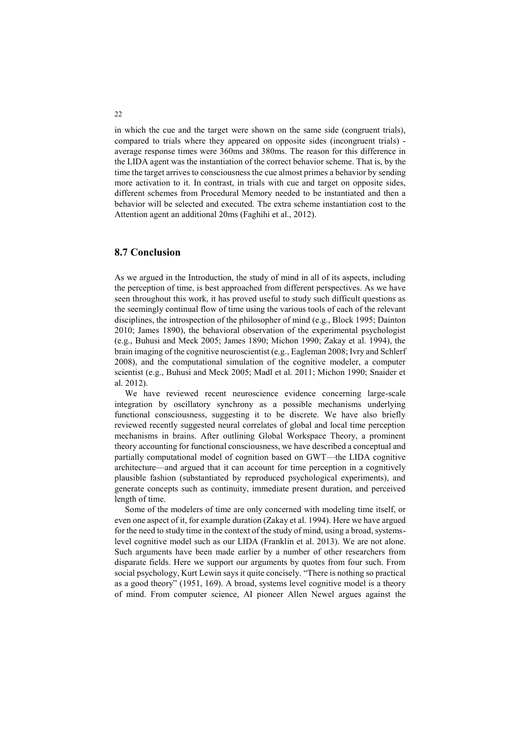in which the cue and the target were shown on the same side (congruent trials), compared to trials where they appeared on opposite sides (incongruent trials) average response times were 360ms and 380ms. The reason for this difference in the LIDA agent was the instantiation of the correct behavior scheme. That is, by the time the target arrives to consciousness the cue almost primes a behavior by sending more activation to it. In contrast, in trials with cue and target on opposite sides, different schemes from Procedural Memory needed to be instantiated and then a behavior will be selected and executed. The extra scheme instantiation cost to the Attention agent an additional 20ms (Faghihi et al., 2012).

#### **8.7 Conclusion**

As we argued in the Introduction, the study of mind in all of its aspects, including the perception of time, is best approached from different perspectives. As we have seen throughout this work, it has proved useful to study such difficult questions as the seemingly continual flow of time using the various tools of each of the relevant disciplines, the introspection of the philosopher of mind (e.g., Block 1995; Dainton 2010; James 1890), the behavioral observation of the experimental psychologist (e.g., Buhusi and Meck 2005; James 1890; Michon 1990; Zakay et al. 1994), the brain imaging of the cognitive neuroscientist (e.g., Eagleman 2008; Ivry and Schlerf 2008), and the computational simulation of the cognitive modeler, a computer scientist (e.g., Buhusi and Meck 2005; Madl et al. 2011; Michon 1990; Snaider et al. 2012).

We have reviewed recent neuroscience evidence concerning large-scale integration by oscillatory synchrony as a possible mechanisms underlying functional consciousness, suggesting it to be discrete. We have also briefly reviewed recently suggested neural correlates of global and local time perception mechanisms in brains. After outlining Global Workspace Theory, a prominent theory accounting for functional consciousness, we have described a conceptual and partially computational model of cognition based on GWT—the LIDA cognitive architecture—and argued that it can account for time perception in a cognitively plausible fashion (substantiated by reproduced psychological experiments), and generate concepts such as continuity, immediate present duration, and perceived length of time.

Some of the modelers of time are only concerned with modeling time itself, or even one aspect of it, for example duration (Zakay et al. 1994). Here we have argued for the need to study time in the context of the study of mind, using a broad, systemslevel cognitive model such as our LIDA (Franklin et al. 2013). We are not alone. Such arguments have been made earlier by a number of other researchers from disparate fields. Here we support our arguments by quotes from four such. From social psychology, Kurt Lewin says it quite concisely. "There is nothing so practical as a good theory" (1951, 169). A broad, systems level cognitive model is a theory of mind. From computer science, AI pioneer Allen Newel argues against the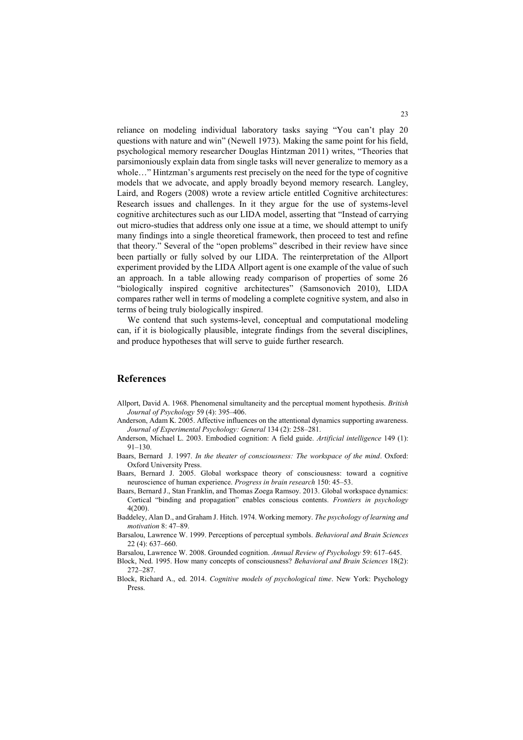reliance on modeling individual laboratory tasks saying "You can't play 20 questions with nature and win" (Newell 1973). Making the same point for his field, psychological memory researcher Douglas Hintzman 2011) writes, "Theories that parsimoniously explain data from single tasks will never generalize to memory as a whole..." Hintzman's arguments rest precisely on the need for the type of cognitive models that we advocate, and apply broadly beyond memory research. Langley, Laird, and Rogers (2008) wrote a review article entitled Cognitive architectures: Research issues and challenges. In it they argue for the use of systems-level cognitive architectures such as our LIDA model, asserting that "Instead of carrying out micro-studies that address only one issue at a time, we should attempt to unify many findings into a single theoretical framework, then proceed to test and refine that theory." Several of the "open problems" described in their review have since been partially or fully solved by our LIDA. The reinterpretation of the Allport experiment provided by the LIDA Allport agent is one example of the value of such an approach. In a table allowing ready comparison of properties of some 26 "biologically inspired cognitive architectures" (Samsonovich 2010), LIDA compares rather well in terms of modeling a complete cognitive system, and also in terms of being truly biologically inspired.

We contend that such systems-level, conceptual and computational modeling can, if it is biologically plausible, integrate findings from the several disciplines, and produce hypotheses that will serve to guide further research.

## **References**

- Allport, David A. 1968. Phenomenal simultaneity and the perceptual moment hypothesis. *British Journal of Psychology* 59 (4): 395–406.
- Anderson, Adam K. 2005. Affective influences on the attentional dynamics supporting awareness. *Journal of Experimental Psychology: General* 134 (2): 258–281.
- Anderson, Michael L. 2003. Embodied cognition: A field guide. *Artificial intelligence* 149 (1): 91–130.
- Baars, Bernard J. 1997. *In the theater of consciousness: The workspace of the mind*. Oxford: Oxford University Press.
- Baars, Bernard J. 2005. Global workspace theory of consciousness: toward a cognitive neuroscience of human experience. *Progress in brain research* 150: 45–53.
- Baars, Bernard J., Stan Franklin, and Thomas Zoega Ramsoy. 2013. Global workspace dynamics: Cortical "binding and propagation" enables conscious contents. *Frontiers in psychology* 4(200).
- Baddeley, Alan D., and Graham J. Hitch. 1974. Working memory. *The psychology of learning and motivation* 8: 47–89.
- Barsalou, Lawrence W. 1999. Perceptions of perceptual symbols. *Behavioral and Brain Sciences* 22 (4): 637–660.
- Barsalou, Lawrence W. 2008. Grounded cognition. *Annual Review of Psychology* 59: 617–645.

Block, Ned. 1995. How many concepts of consciousness? *Behavioral and Brain Sciences* 18(2): 272–287.

Block, Richard A., ed. 2014. *Cognitive models of psychological time*. New York: Psychology Press.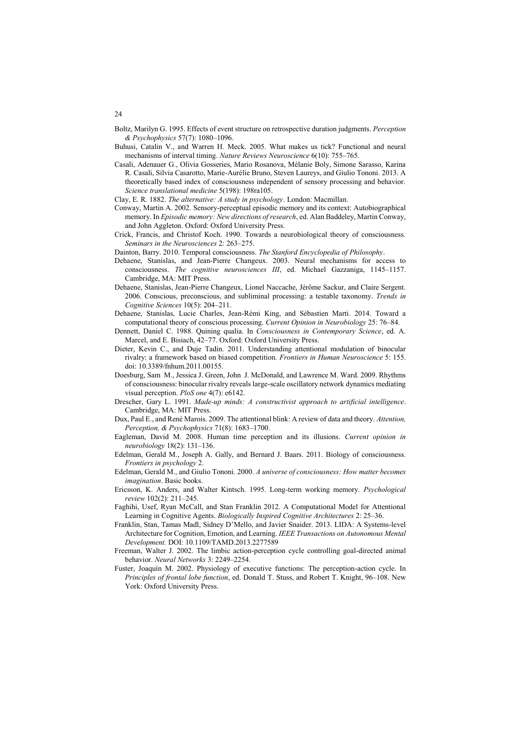- Boltz, Marilyn G. 1995. Effects of event structure on retrospective duration judgments. *Perception & Psychophysics* 57(7): 1080–1096.
- Buhusi, Catalin V., and Warren H. Meck. 2005. What makes us tick? Functional and neural mechanisms of interval timing. *Nature Reviews Neuroscience* 6(10): 755–765.
- Casali, Adenauer G., Olivia Gosseries, Mario Rosanova, Mélanie Boly, Simone Sarasso, Karina R. Casali, Silvia Casarotto, Marie-Aurélie Bruno, Steven Laureys, and Giulio Tononi. 2013. A theoretically based index of consciousness independent of sensory processing and behavior. *Science translational medicine* 5(198): 198ra105.
- Clay, E. R. 1882. *The alternative: A study in psychology*. London: Macmillan.
- Conway, Martin A. 2002. Sensory-perceptual episodic memory and its context: Autobiographical memory. In *Episodic memory: New directions of research*, ed. Alan Baddeley, Martin Conway, and John Aggleton. Oxford: Oxford University Press.
- Crick, Francis, and Christof Koch. 1990. Towards a neurobiological theory of consciousness. *Seminars in the Neurosciences* 2: 263–275.
- Dainton, Barry. 2010. Temporal consciousness. *The Stanford Encyclopedia of Philosophy*.
- Dehaene, Stanislas, and Jean-Pierre Changeux. 2003. Neural mechanisms for access to consciousness. *The cognitive neurosciences III*, ed. Michael Gazzaniga, 1145–1157. Cambridge, MA: MIT Press.
- Dehaene, Stanislas, Jean-Pierre Changeux, Lionel Naccache, Jérôme Sackur, and Claire Sergent. 2006. Conscious, preconscious, and subliminal processing: a testable taxonomy. *Trends in Cognitive Sciences* 10(5): 204–211.
- Dehaene, Stanislas, Lucie Charles, Jean-Rémi King, and Sébastien Marti. 2014. Toward a computational theory of conscious processing. *Current Opinion in Neurobiology* 25: 76–84.
- Dennett, Daniel C. 1988. Quining qualia. In *Consciousness in Contemporary Science*, ed. A. Marcel, and E. Bisiach, 42–77. Oxford: Oxford University Press.
- Dieter, Kevin C., and Duje Tadin. 2011. Understanding attentional modulation of binocular rivalry: a framework based on biased competition. *Frontiers in Human Neuroscience* 5: 155. doi: 10.3389/fnhum.2011.00155.
- Doesburg, Sam M., Jessica J. Green, John J. McDonald, and Lawrence M. Ward. 2009. Rhythms of consciousness: binocular rivalry reveals large-scale oscillatory network dynamics mediating visual perception. *PloS one* 4(7): e6142.
- Drescher, Gary L. 1991. *Made-up minds: A constructivist approach to artificial intelligence*. Cambridge, MA: MIT Press.
- Dux, Paul E., and René Marois. 2009. The attentional blink: A review of data and theory. *Attention, Perception, & Psychophysics* 71(8): 1683–1700.
- Eagleman, David M. 2008. Human time perception and its illusions. *Current opinion in neurobiology* 18(2): 131–136.
- Edelman, Gerald M., Joseph A. Gally, and Bernard J. Baars. 2011. Biology of consciousness. *Frontiers in psychology* 2.
- Edelman, Gerald M., and Giulio Tononi. 2000. *A universe of consciousness: How matter becomes imagination*. Basic books.
- Ericsson, K. Anders, and Walter Kintsch. 1995. Long-term working memory. *Psychological review* 102(2): 211–245.
- Faghihi, Usef, Ryan McCall, and Stan Franklin 2012. A Computational Model for Attentional Learning in Cognitive Agents. *Biologically Inspired Cognitive Architectures* 2: 25–36.
- Franklin, Stan, Tamas Madl, Sidney D'Mello, and Javier Snaider. 2013. LIDA: A Systems-level Architecture for Cognition, Emotion, and Learning. *IEEE Transactions on Autonomous Mental Development.* DOI: 10.1109/TAMD.2013.2277589
- Freeman, Walter J. 2002. The limbic action-perception cycle controlling goal-directed animal behavior. *Neural Networks* 3: 2249–2254.
- Fuster, Joaquín M. 2002. Physiology of executive functions: The perception-action cycle. In *Principles of frontal lobe function*, ed. Donald T. Stuss, and Robert T. Knight, 96–108. New York: Oxford University Press.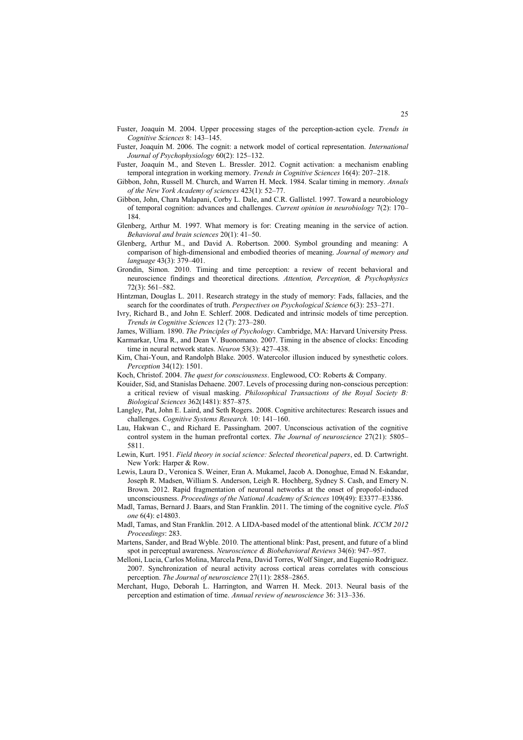- Fuster, Joaquín M. 2004. Upper processing stages of the perception-action cycle. *Trends in Cognitive Sciences* 8: 143–145.
- Fuster, Joaquín M. 2006. The cognit: a network model of cortical representation. *International Journal of Psychophysiology* 60(2): 125–132.
- Fuster, Joaquín M., and Steven L. Bressler. 2012. Cognit activation: a mechanism enabling temporal integration in working memory. *Trends in Cognitive Sciences* 16(4): 207–218.
- Gibbon, John, Russell M. Church, and Warren H. Meck. 1984. Scalar timing in memory. *Annals of the New York Academy of sciences* 423(1): 52–77.
- Gibbon, John, Chara Malapani, Corby L. Dale, and C.R. Gallistel. 1997. Toward a neurobiology of temporal cognition: advances and challenges. *Current opinion in neurobiology* 7(2): 170– 184.
- Glenberg, Arthur M. 1997. What memory is for: Creating meaning in the service of action. *Behavioral and brain sciences* 20(1): 41–50.
- Glenberg, Arthur M., and David A. Robertson. 2000. Symbol grounding and meaning: A comparison of high-dimensional and embodied theories of meaning. *Journal of memory and language* 43(3): 379–401.
- Grondin, Simon. 2010. Timing and time perception: a review of recent behavioral and neuroscience findings and theoretical directions. *Attention, Perception, & Psychophysics* 72(3): 561–582.
- Hintzman, Douglas L. 2011. Research strategy in the study of memory: Fads, fallacies, and the search for the coordinates of truth. *Perspectives on Psychological Science* 6(3): 253–271.
- Ivry, Richard B., and John E. Schlerf. 2008. Dedicated and intrinsic models of time perception. *Trends in Cognitive Sciences* 12 (7): 273–280.
- James, William. 1890. *The Principles of Psychology*. Cambridge, MA: Harvard University Press.
- Karmarkar, Uma R., and Dean V. Buonomano. 2007. Timing in the absence of clocks: Encoding time in neural network states. *Neuron* 53(3): 427–438.
- Kim, Chai-Youn, and Randolph Blake. 2005. Watercolor illusion induced by synesthetic colors. *Perception* 34(12): 1501.
- Koch, Christof. 2004. *The quest for consciousness*. Englewood, CO: Roberts & Company.
- Kouider, Sid, and Stanislas Dehaene. 2007. Levels of processing during non-conscious perception: a critical review of visual masking. *Philosophical Transactions of the Royal Society B: Biological Sciences* 362(1481): 857–875.
- Langley, Pat, John E. Laird, and Seth Rogers. 2008. Cognitive architectures: Research issues and challenges. *Cognitive Systems Research.* 10: 141–160.
- Lau, Hakwan C., and Richard E. Passingham. 2007. Unconscious activation of the cognitive control system in the human prefrontal cortex. *The Journal of neuroscience* 27(21): 5805– 5811.
- Lewin, Kurt. 1951. *Field theory in social science: Selected theoretical papers*, ed. D. Cartwright. New York: Harper & Row.
- Lewis, Laura D., Veronica S. Weiner, Eran A. Mukamel, Jacob A. Donoghue, Emad N. Eskandar, Joseph R. Madsen, William S. Anderson, Leigh R. Hochberg, Sydney S. Cash, and Emery N. Brown. 2012. Rapid fragmentation of neuronal networks at the onset of propofol-induced unconsciousness. *Proceedings of the National Academy of Sciences* 109(49): E3377–E3386.
- Madl, Tamas, Bernard J. Baars, and Stan Franklin. 2011. The timing of the cognitive cycle. *PloS one* 6(4): e14803.
- Madl, Tamas, and Stan Franklin. 2012. A LIDA-based model of the attentional blink. *ICCM 2012 Proceedings*: 283.
- Martens, Sander, and Brad Wyble. 2010. The attentional blink: Past, present, and future of a blind spot in perceptual awareness. *Neuroscience & Biobehavioral Reviews* 34(6): 947–957.
- Melloni, Lucia, Carlos Molina, Marcela Pena, David Torres, Wolf Singer, and Eugenio Rodriguez. 2007. Synchronization of neural activity across cortical areas correlates with conscious perception. *The Journal of neuroscience* 27(11): 2858–2865.
- Merchant, Hugo, Deborah L. Harrington, and Warren H. Meck. 2013. Neural basis of the perception and estimation of time. *Annual review of neuroscience* 36: 313–336.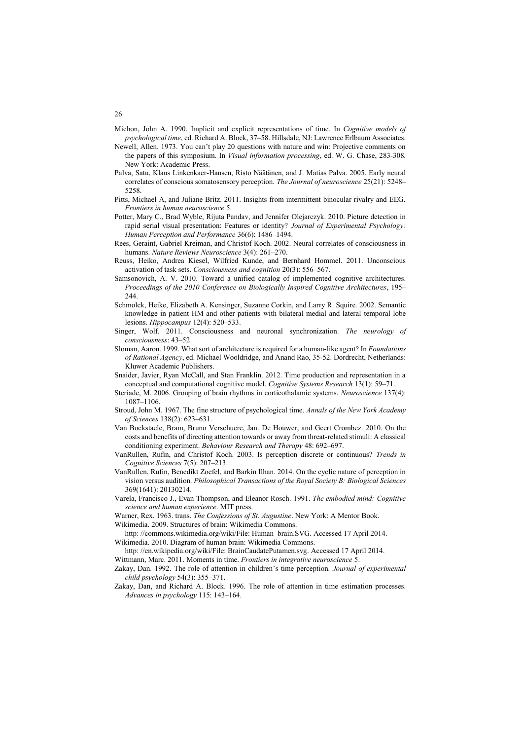- Michon, John A. 1990. Implicit and explicit representations of time. In *Cognitive models of psychological time*, ed. Richard A. Block, 37–58. Hillsdale, NJ: Lawrence Erlbaum Associates.
- Newell, Allen. 1973. You can't play 20 questions with nature and win: Projective comments on the papers of this symposium. In *Visual information processing*, ed. W. G. Chase, 283-308*.* New York: Academic Press.
- Palva, Satu, Klaus Linkenkaer-Hansen, Risto Näätänen, and J. Matias Palva. 2005. Early neural correlates of conscious somatosensory perception. *The Journal of neuroscience* 25(21): 5248– 5258.
- Pitts, Michael A, and Juliane Britz. 2011. Insights from intermittent binocular rivalry and EEG. *Frontiers in human neuroscience* 5.
- Potter, Mary C., Brad Wyble, Rijuta Pandav, and Jennifer Olejarczyk. 2010. Picture detection in rapid serial visual presentation: Features or identity? *Journal of Experimental Psychology: Human Perception and Performance* 36(6): 1486–1494.
- Rees, Geraint, Gabriel Kreiman, and Christof Koch. 2002. Neural correlates of consciousness in humans. *Nature Reviews Neuroscience* 3(4): 261–270.
- Reuss, Heiko, Andrea Kiesel, Wilfried Kunde, and Bernhard Hommel. 2011. Unconscious activation of task sets. *Consciousness and cognition* 20(3): 556–567.
- Samsonovich, A. V. 2010. Toward a unified catalog of implemented cognitive architectures. *Proceedings of the 2010 Conference on Biologically Inspired Cognitive Architectures*, 195– 244.
- Schmolck, Heike, Elizabeth A. Kensinger, Suzanne Corkin, and Larry R. Squire. 2002. Semantic knowledge in patient HM and other patients with bilateral medial and lateral temporal lobe lesions. *Hippocampus* 12(4): 520–533.
- Singer, Wolf. 2011. Consciousness and neuronal synchronization. *The neurology of consciousness*: 43–52.
- Sloman, Aaron. 1999. What sort of architecture is required for a human-like agent? In *Foundations of Rational Agency*, ed. Michael Wooldridge, and Anand Rao, 35-52. Dordrecht, Netherlands: Kluwer Academic Publishers.
- Snaider, Javier, Ryan McCall, and Stan Franklin. 2012. Time production and representation in a conceptual and computational cognitive model. *Cognitive Systems Research* 13(1): 59–71.
- Steriade, M. 2006. Grouping of brain rhythms in corticothalamic systems. *Neuroscience* 137(4): 1087–1106.
- Stroud, John M. 1967. The fine structure of psychological time. *Annals of the New York Academy of Sciences* 138(2): 623–631.
- Van Bockstaele, Bram, Bruno Verschuere, Jan. De Houwer, and Geert Crombez. 2010. On the costs and benefits of directing attention towards or away from threat-related stimuli: A classical conditioning experiment. *Behaviour Research and Therapy* 48: 692–697.
- VanRullen, Rufin, and Christof Koch. 2003. Is perception discrete or continuous? *Trends in Cognitive Sciences* 7(5): 207–213.
- VanRullen, Rufin, Benedikt Zoefel, and Barkin Ilhan. 2014. On the cyclic nature of perception in vision versus audition. *Philosophical Transactions of the Royal Society B: Biological Sciences* 369(1641): 20130214.
- Varela, Francisco J., Evan Thompson, and Eleanor Rosch. 1991. *The embodied mind: Cognitive science and human experience*. MIT press.

Warner, Rex. 1963. trans. *The Confessions of St. Augustine*. New York: A Mentor Book. Wikimedia. 2009. Structures of brain: Wikimedia Commons.

[http: //commons.wikimedia.org/wiki/File: Human](http://commons.wikimedia.org/wiki/File:Human-brain.SVG)–brain.SVG. Accessed 17 April 2014. Wikimedia. 2010. Diagram of human brain: Wikimedia Commons.

[http: //en.wikipedia.org/wiki/File: BrainCaudatePutamen.svg.](http://en.wikipedia.org/wiki/File:BrainCaudatePutamen.svg) Accessed 17 April 2014.

Wittmann, Marc. 2011. Moments in time. *Frontiers in integrative neuroscience* 5.

Zakay, Dan. 1992. The role of attention in children's time perception. *Journal of experimental child psychology* 54(3): 355–371.

Zakay, Dan, and Richard A. Block. 1996. The role of attention in time estimation processes. *Advances in psychology* 115: 143–164.